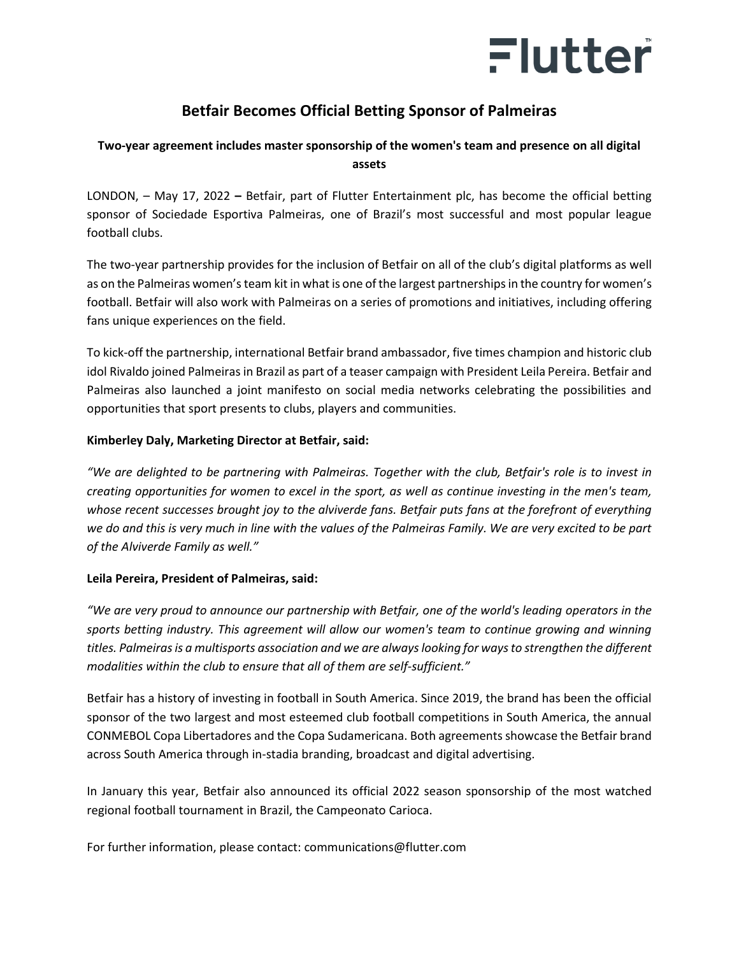

## **Betfair Becomes Official Betting Sponsor of Palmeiras**

### **Two-year agreement includes master sponsorship of the women's team and presence on all digital assets**

LONDON, – May 17, 2022 **–** Betfair, part of Flutter Entertainment plc, has become the official betting sponsor of Sociedade Esportiva Palmeiras, one of Brazil's most successful and most popular league football clubs.

The two-year partnership provides for the inclusion of Betfair on all of the club's digital platforms as well as on the Palmeiras women's team kit in what is one of the largest partnerships in the country for women's football. Betfair will also work with Palmeiras on a series of promotions and initiatives, including offering fans unique experiences on the field.

To kick-off the partnership, international Betfair brand ambassador, five times champion and historic club idol Rivaldo joined Palmeiras in Brazil as part of a teaser campaign with President Leila Pereira. Betfair and Palmeiras also launched a joint manifesto on social media networks celebrating the possibilities and opportunities that sport presents to clubs, players and communities.

#### **Kimberley Daly, Marketing Director at Betfair, said:**

*"We are delighted to be partnering with Palmeiras. Together with the club, Betfair's role is to invest in creating opportunities for women to excel in the sport, as well as continue investing in the men's team, whose recent successes brought joy to the alviverde fans. Betfair puts fans at the forefront of everything we do and this is very much in line with the values of the Palmeiras Family. We are very excited to be part of the Alviverde Family as well."*

#### **Leila Pereira, President of Palmeiras, said:**

*"We are very proud to announce our partnership with Betfair, one of the world's leading operators in the sports betting industry. This agreement will allow our women's team to continue growing and winning titles. Palmeiras is a multisports association and we are always looking for ways to strengthen the different modalities within the club to ensure that all of them are self-sufficient."*

Betfair has a history of investing in football in South America. Since 2019, the brand has been the official sponsor of the two largest and most esteemed club football competitions in South America, the annual CONMEBOL Copa Libertadores and the Copa Sudamericana. Both agreements showcase the Betfair brand across South America through in-stadia branding, broadcast and digital advertising.

In January this year, Betfair also announced its official 2022 season sponsorship of the most watched regional football tournament in Brazil, the Campeonato Carioca.

For further information, please contact: [communications@flutter.com](mailto:communications@flutter.com)